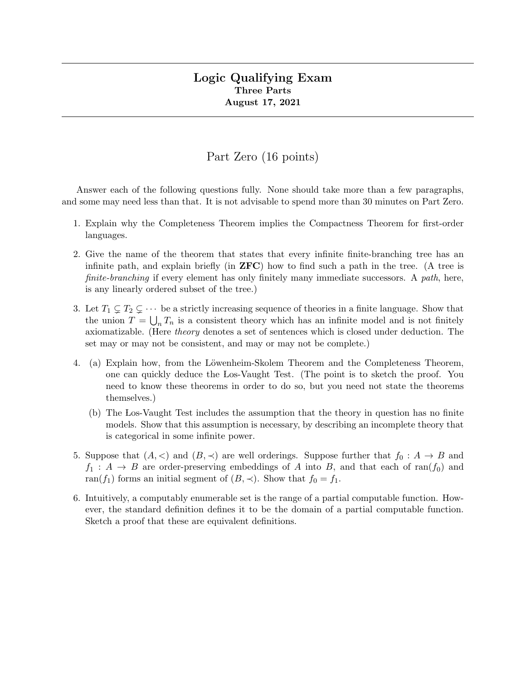#### Logic Qualifying Exam Three Parts August 17, 2021

# Part Zero (16 points)

Answer each of the following questions fully. None should take more than a few paragraphs, and some may need less than that. It is not advisable to spend more than 30 minutes on Part Zero.

- 1. Explain why the Completeness Theorem implies the Compactness Theorem for first-order languages.
- 2. Give the name of the theorem that states that every infinite finite-branching tree has an infinite path, and explain briefly (in  $ZFC$ ) how to find such a path in the tree. (A tree is finite-branching if every element has only finitely many immediate successors. A path, here, is any linearly ordered subset of the tree.)
- 3. Let  $T_1 \subsetneq T_2 \subsetneq \cdots$  be a strictly increasing sequence of theories in a finite language. Show that the union  $T = \bigcup_n T_n$  is a consistent theory which has an infinite model and is not finitely axiomatizable. (Here theory denotes a set of sentences which is closed under deduction. The set may or may not be consistent, and may or may not be complete.)
- 4. (a) Explain how, from the Löwenheim-Skolem Theorem and the Completeness Theorem, one can quickly deduce the Los-Vaught Test. (The point is to sketch the proof. You need to know these theorems in order to do so, but you need not state the theorems themselves.)
	- (b) The Los-Vaught Test includes the assumption that the theory in question has no finite models. Show that this assumption is necessary, by describing an incomplete theory that is categorical in some infinite power.
- 5. Suppose that  $(A, \leq)$  and  $(B, \preceq)$  are well orderings. Suppose further that  $f_0 : A \to B$  and  $f_1: A \rightarrow B$  are order-preserving embeddings of A into B, and that each of ran( $f_0$ ) and ran(f<sub>1</sub>) forms an initial segment of  $(B, \prec)$ . Show that  $f_0 = f_1$ .
- 6. Intuitively, a computably enumerable set is the range of a partial computable function. However, the standard definition defines it to be the domain of a partial computable function. Sketch a proof that these are equivalent definitions.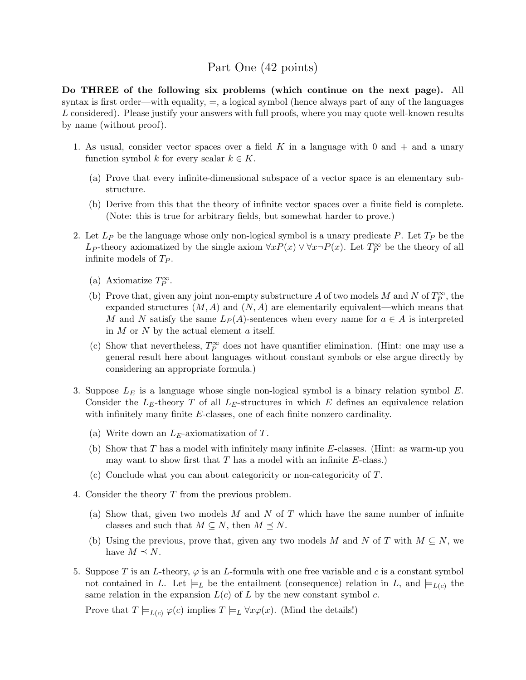# Part One (42 points)

Do THREE of the following six problems (which continue on the next page). All syntax is first order—with equality,  $=$ , a logical symbol (hence always part of any of the languages L considered). Please justify your answers with full proofs, where you may quote well-known results by name (without proof).

- 1. As usual, consider vector spaces over a field K in a language with 0 and  $+$  and a unary function symbol k for every scalar  $k \in K$ .
	- (a) Prove that every infinite-dimensional subspace of a vector space is an elementary substructure.
	- (b) Derive from this that the theory of infinite vector spaces over a finite field is complete. (Note: this is true for arbitrary fields, but somewhat harder to prove.)
- 2. Let  $L_P$  be the language whose only non-logical symbol is a unary predicate P. Let  $T_P$  be the L<sub>P</sub>-theory axiomatized by the single axiom  $\forall x P(x) \lor \forall x \neg P(x)$ . Let  $T_P^{\infty}$  be the theory of all infinite models of  $T_P$ .
	- (a) Axiomatize  $T_P^{\infty}$ .
	- (b) Prove that, given any joint non-empty substructure A of two models M and N of  $T_P^{\infty}$ , the expanded structures  $(M, A)$  and  $(N, A)$  are elementarily equivalent—which means that M and N satisfy the same  $L_P(A)$ -sentences when every name for  $a \in A$  is interpreted in  $M$  or  $N$  by the actual element  $a$  itself.
	- (c) Show that nevertheless,  $T_P^{\infty}$  does not have quantifier elimination. (Hint: one may use a general result here about languages without constant symbols or else argue directly by considering an appropriate formula.)
- 3. Suppose  $L<sub>E</sub>$  is a language whose single non-logical symbol is a binary relation symbol  $E$ . Consider the  $L_E$ -theory T of all  $L_E$ -structures in which E defines an equivalence relation with infinitely many finite E-classes, one of each finite nonzero cardinality.
	- (a) Write down an  $L_E$ -axiomatization of T.
	- (b) Show that  $T$  has a model with infinitely many infinite  $E$ -classes. (Hint: as warm-up you may want to show first that  $T$  has a model with an infinite  $E$ -class.)
	- (c) Conclude what you can about categoricity or non-categoricity of T.
- 4. Consider the theory T from the previous problem.
	- (a) Show that, given two models  $M$  and  $N$  of  $T$  which have the same number of infinite classes and such that  $M \subseteq N$ , then  $M \preceq N$ .
	- (b) Using the previous, prove that, given any two models M and N of T with  $M \subseteq N$ , we have  $M \prec N$ .
- 5. Suppose T is an L-theory,  $\varphi$  is an L-formula with one free variable and c is a constant symbol not contained in L. Let  $\models_L$  be the entailment (consequence) relation in L, and  $\models_{L(c)}$  the same relation in the expansion  $L(c)$  of L by the new constant symbol c.

Prove that  $T \models_{L(c)} \varphi(c)$  implies  $T \models_L \forall x \varphi(x)$ . (Mind the details!)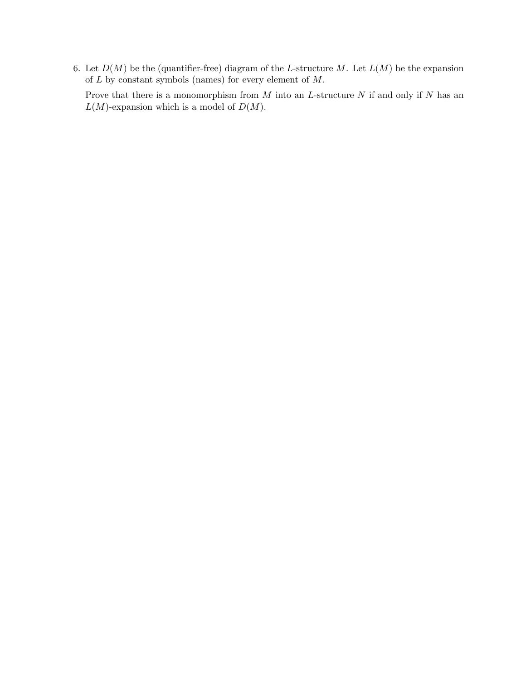6. Let  $D(M)$  be the (quantifier-free) diagram of the L-structure M. Let  $L(M)$  be the expansion of  $L$  by constant symbols (names) for every element of  $M$ .

Prove that there is a monomorphism from  $M$  into an  $L$ -structure  $N$  if and only if  $N$  has an  $L(M)$ -expansion which is a model of  $D(M)$ .